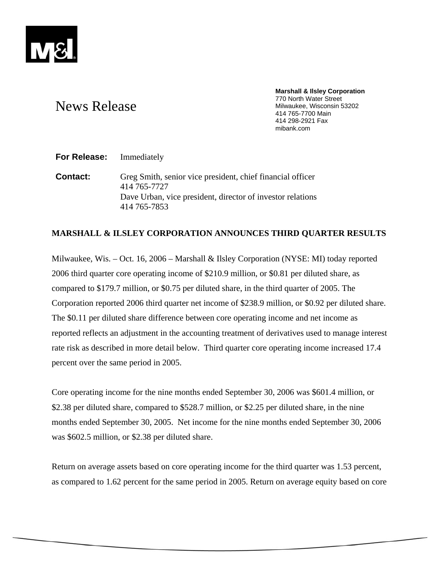

#### **Marshall & Ilsley Corporation**  770 North Water Street Milwaukee, Wisconsin 53202 414 765-7700 Main 414 298-2921 Fax mibank.com

# News Release

**For Release:** Immediately

**Contact:** Greg Smith, senior vice president, chief financial officer 414 765-7727 Dave Urban, vice president, director of investor relations 414 765-7853

## **MARSHALL & ILSLEY CORPORATION ANNOUNCES THIRD QUARTER RESULTS**

Milwaukee, Wis. – Oct. 16, 2006 – Marshall & Ilsley Corporation (NYSE: MI) today reported 2006 third quarter core operating income of \$210.9 million, or \$0.81 per diluted share, as compared to \$179.7 million, or \$0.75 per diluted share, in the third quarter of 2005. The Corporation reported 2006 third quarter net income of \$238.9 million, or \$0.92 per diluted share. The \$0.11 per diluted share difference between core operating income and net income as reported reflects an adjustment in the accounting treatment of derivatives used to manage interest rate risk as described in more detail below. Third quarter core operating income increased 17.4 percent over the same period in 2005.

Core operating income for the nine months ended September 30, 2006 was \$601.4 million, or \$2.38 per diluted share, compared to \$528.7 million, or \$2.25 per diluted share, in the nine months ended September 30, 2005. Net income for the nine months ended September 30, 2006 was \$602.5 million, or \$2.38 per diluted share.

Return on average assets based on core operating income for the third quarter was 1.53 percent, as compared to 1.62 percent for the same period in 2005. Return on average equity based on core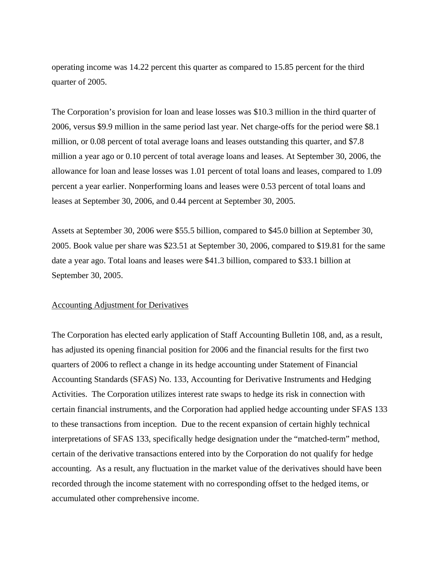operating income was 14.22 percent this quarter as compared to 15.85 percent for the third quarter of 2005.

The Corporation's provision for loan and lease losses was \$10.3 million in the third quarter of 2006, versus \$9.9 million in the same period last year. Net charge-offs for the period were \$8.1 million, or 0.08 percent of total average loans and leases outstanding this quarter, and \$7.8 million a year ago or 0.10 percent of total average loans and leases. At September 30, 2006, the allowance for loan and lease losses was 1.01 percent of total loans and leases, compared to 1.09 percent a year earlier. Nonperforming loans and leases were 0.53 percent of total loans and leases at September 30, 2006, and 0.44 percent at September 30, 2005.

Assets at September 30, 2006 were \$55.5 billion, compared to \$45.0 billion at September 30, 2005. Book value per share was \$23.51 at September 30, 2006, compared to \$19.81 for the same date a year ago. Total loans and leases were \$41.3 billion, compared to \$33.1 billion at September 30, 2005.

## Accounting Adjustment for Derivatives

The Corporation has elected early application of Staff Accounting Bulletin 108, and, as a result, has adjusted its opening financial position for 2006 and the financial results for the first two quarters of 2006 to reflect a change in its hedge accounting under Statement of Financial Accounting Standards (SFAS) No. 133, Accounting for Derivative Instruments and Hedging Activities. The Corporation utilizes interest rate swaps to hedge its risk in connection with certain financial instruments, and the Corporation had applied hedge accounting under SFAS 133 to these transactions from inception. Due to the recent expansion of certain highly technical interpretations of SFAS 133, specifically hedge designation under the "matched-term" method, certain of the derivative transactions entered into by the Corporation do not qualify for hedge accounting. As a result, any fluctuation in the market value of the derivatives should have been recorded through the income statement with no corresponding offset to the hedged items, or accumulated other comprehensive income.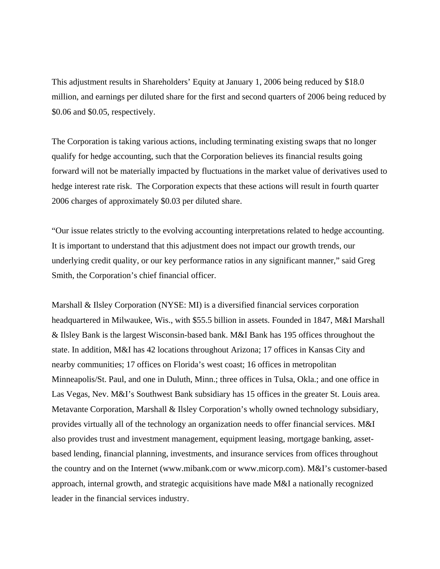This adjustment results in Shareholders' Equity at January 1, 2006 being reduced by \$18.0 million, and earnings per diluted share for the first and second quarters of 2006 being reduced by \$0.06 and \$0.05, respectively.

The Corporation is taking various actions, including terminating existing swaps that no longer qualify for hedge accounting, such that the Corporation believes its financial results going forward will not be materially impacted by fluctuations in the market value of derivatives used to hedge interest rate risk. The Corporation expects that these actions will result in fourth quarter 2006 charges of approximately \$0.03 per diluted share.

"Our issue relates strictly to the evolving accounting interpretations related to hedge accounting. It is important to understand that this adjustment does not impact our growth trends, our underlying credit quality, or our key performance ratios in any significant manner," said Greg Smith, the Corporation's chief financial officer.

Marshall & Ilsley Corporation (NYSE: MI) is a diversified financial services corporation headquartered in Milwaukee, Wis., with \$55.5 billion in assets. Founded in 1847, M&I Marshall & Ilsley Bank is the largest Wisconsin-based bank. M&I Bank has 195 offices throughout the state. In addition, M&I has 42 locations throughout Arizona; 17 offices in Kansas City and nearby communities; 17 offices on Florida's west coast; 16 offices in metropolitan Minneapolis/St. Paul, and one in Duluth, Minn.; three offices in Tulsa, Okla.; and one office in Las Vegas, Nev. M&I's Southwest Bank subsidiary has 15 offices in the greater St. Louis area. Metavante Corporation, Marshall & Ilsley Corporation's wholly owned technology subsidiary, provides virtually all of the technology an organization needs to offer financial services. M&I also provides trust and investment management, equipment leasing, mortgage banking, assetbased lending, financial planning, investments, and insurance services from offices throughout the country and on the Internet (www.mibank.com or www.micorp.com). M&I's customer-based approach, internal growth, and strategic acquisitions have made M&I a nationally recognized leader in the financial services industry.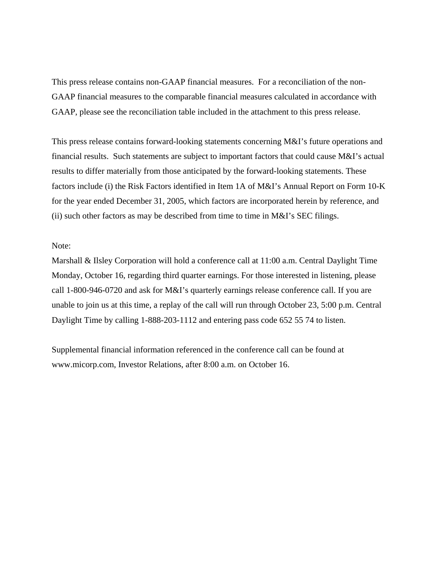This press release contains non-GAAP financial measures. For a reconciliation of the non-GAAP financial measures to the comparable financial measures calculated in accordance with GAAP, please see the reconciliation table included in the attachment to this press release.

This press release contains forward-looking statements concerning M&I's future operations and financial results. Such statements are subject to important factors that could cause M&I's actual results to differ materially from those anticipated by the forward-looking statements. These factors include (i) the Risk Factors identified in Item 1A of M&I's Annual Report on Form 10-K for the year ended December 31, 2005, which factors are incorporated herein by reference, and (ii) such other factors as may be described from time to time in M&I's SEC filings.

## Note:

Marshall & Ilsley Corporation will hold a conference call at 11:00 a.m. Central Daylight Time Monday, October 16, regarding third quarter earnings. For those interested in listening, please call 1-800-946-0720 and ask for M&I's quarterly earnings release conference call. If you are unable to join us at this time, a replay of the call will run through October 23, 5:00 p.m. Central Daylight Time by calling 1-888-203-1112 and entering pass code 652 55 74 to listen.

Supplemental financial information referenced in the conference call can be found at www.micorp.com, Investor Relations, after 8:00 a.m. on October 16.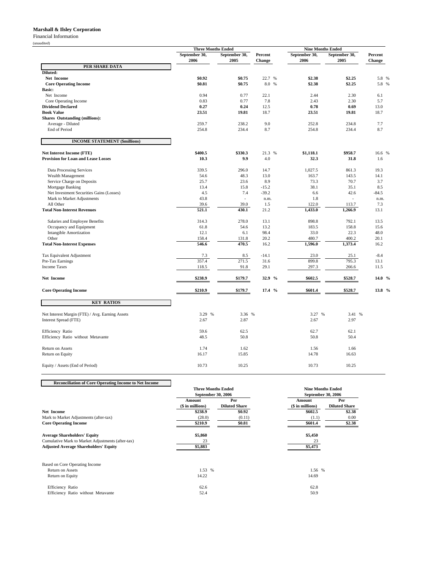### **Marshall & Ilsley Corporation**

Financial Information

(unaudited)

|                                                   | <b>Three Months Ended</b> |                                 |                   | <b>Nine Months Ended</b> |                       |                   |
|---------------------------------------------------|---------------------------|---------------------------------|-------------------|--------------------------|-----------------------|-------------------|
|                                                   | September 30,<br>2006     | September 30,<br>2005           | Percent<br>Change | September 30,<br>2006    | September 30,<br>2005 | Percent<br>Change |
| PER SHARE DATA                                    |                           |                                 |                   |                          |                       |                   |
| Diluted:                                          |                           |                                 |                   |                          |                       |                   |
| Net Income                                        | \$0.92                    | \$0.75                          | 22.7 %            | \$2.38                   | \$2.25                | 5.8 %             |
| <b>Core Operating Income</b>                      | \$0.81                    | \$0.75                          | 8.0 %             | \$2.38                   | \$2.25                | 5.8 %             |
| <b>Basic:</b>                                     |                           |                                 |                   |                          |                       |                   |
| Net Income                                        | 0.94                      | 0.77                            | 22.1              | 2.44                     | 2.30                  | 6.1               |
| Core Operating Income<br><b>Dividend Declared</b> | 0.83<br>0.27              | 0.77<br>0.24                    | 7.8<br>12.5       | 2.43<br>0.78             | 2.30<br>0.69          | 5.7               |
| <b>Book Value</b>                                 | 23.51                     | 19.81                           | 18.7              | 23.51                    | 19.81                 | 13.0<br>18.7      |
| <b>Shares</b> Outstanding (millions):             |                           |                                 |                   |                          |                       |                   |
| Average - Diluted                                 | 259.7                     | 238.2                           | 9.0               | 252.8                    | 234.8                 | 7.7               |
| <b>End of Period</b>                              | 254.8                     | 234.4                           | 8.7               | 254.8                    | 234.4                 | 8.7               |
|                                                   |                           |                                 |                   |                          |                       |                   |
| <b>INCOME STATEMENT (\$millions)</b>              |                           |                                 |                   |                          |                       |                   |
| <b>Net Interest Income (FTE)</b>                  | \$400.5                   | \$330.3                         | 21.3 %            | \$1,118.1                | \$958.7               | 16.6 %            |
| <b>Provision for Loan and Lease Losses</b>        | 10.3                      | 9.9                             | 4.0               | 32.3                     | 31.8                  | 1.6               |
|                                                   |                           |                                 |                   |                          |                       |                   |
| Data Processing Services                          | 339.5                     | 296.0                           | 14.7              | 1,027.5                  | 861.3                 | 19.3              |
| Wealth Management                                 | 54.6                      | 48.3                            | 13.0              | 163.7                    | 143.5                 | 14.1              |
| Service Charge on Deposits                        | 25.7                      | 23.6                            | 8.9               | 73.3                     | 70.7                  | 3.7               |
| Mortgage Banking                                  | 13.4                      | 15.8                            | $-15.2$           | 38.1                     | 35.1                  | 8.5               |
| Net Investment Securities Gains (Losses)          | 4.5                       | 7.4<br>$\overline{\phantom{a}}$ | $-39.2$           | 6.6                      | 42.6                  | $-84.5$           |
| Mark to Market Adjustments                        | 43.8                      |                                 | n.m.              | 1.8<br>122.0             |                       | n.m.              |
| All Other<br><b>Total Non-Interest Revenues</b>   | 39.6<br>521.1             | 39.0<br>430.1                   | 1.5<br>21.2       | 1,433.0                  | 113.7<br>1,266.9      | 7.3<br>13.1       |
|                                                   |                           |                                 |                   |                          |                       |                   |
| Salaries and Employee Benefits                    | 314.3                     | 278.0                           | 13.1              | 898.8                    | 792.1                 | 13.5              |
| Occupancy and Equipment                           | 61.8                      | 54.6                            | 13.2              | 183.5                    | 158.8                 | 15.6              |
| <b>Intangible Amortization</b>                    | 12.1                      | 6.1                             | 98.4              | 33.0                     | 22.3                  | 48.0              |
| Other                                             | 158.4                     | 131.8                           | 20.2              | 480.7                    | 400.2                 | 20.1              |
| <b>Total Non-Interest Expenses</b>                | 546.6                     | 470.5                           | 16.2              | 1,596.0                  | 1,373.4               | 16.2              |
| Tax Equivalent Adjustment                         | 7.3                       | 8.5                             | $-14.1$           | 23.0                     | 25.1                  | $-8.4$            |
| Pre-Tax Earnings                                  | 357.4                     | 271.5                           | 31.6              | 899.8                    | 795.3                 | 13.1              |
| <b>Income Taxes</b>                               | 118.5                     | 91.8                            | 29.1              | 297.3                    | 266.6                 | 11.5              |
| Net Income                                        | \$238.9                   | \$179.7                         | 32.9 %            | \$602.5                  | \$528.7               | 14.0 %            |
| <b>Core Operating Income</b>                      | \$210.9                   | \$179.7                         | 17.4 %            | \$601.4                  | \$528.7               | 13.8 %            |
|                                                   |                           |                                 |                   |                          |                       |                   |
| <b>KEY RATIOS</b>                                 |                           |                                 |                   |                          |                       |                   |
| Net Interest Margin (FTE) / Avg. Earning Assets   | 3.29 %                    | 3.36 %                          |                   | 3.27 %                   | 3.41 %                |                   |
| Interest Spread (FTE)                             | 2.67                      | 2.87                            |                   | 2.67                     | 2.97                  |                   |
|                                                   |                           |                                 |                   |                          |                       |                   |
| Efficiency Ratio                                  | 59.6                      | 62.5                            |                   | 62.7                     | 62.1                  |                   |
| Efficiency Ratio without Metavante                | 48.5                      | 50.8                            |                   | 50.8                     | 50.4                  |                   |
| Return on Assets                                  | 1.74                      | 1.62                            |                   | 1.56                     | 1.66                  |                   |
| Return on Equity                                  | 16.17                     | 15.85                           |                   | 14.78                    | 16.63                 |                   |
|                                                   |                           |                                 |                   |                          |                       |                   |
| Equity / Assets (End of Period)                   | 10.73                     | 10.25                           |                   | 10.73                    | 10.25                 |                   |

**Reconciliation of Core Operating Income to Net Income** Amount Per **Amount** Per **Amount** Per **(\$** in millions) Diluted Share **(\$** in millions) Diluted Share **(\$ in millions)** Diluted Share<br>  $\frac{1}{1000}$   $\frac{1}{10000}$   $\frac{1}{10000}$   $\frac{1}{10000}$   $\frac{1}{1000}$   $\frac{1}{1000}$   $\frac{1}{1000}$   $\frac{1}{1000}$   $\frac{1}{1000}$   $\frac{1}{1000}$   $\frac{1}{1000}$   $\frac{1}{1000}$   $\frac{1}{1000}$   $\frac{1}{1000}$   $\frac{$ **Net Income \$238.9 \$0.92 \$602.5 \$2.38** Mark to Market Adjustments (after-tax) (28.0) (28.0) (0.11) (1.1) (1.1) (1.1) 0.00<br>
Core Operating Income (28.0) (28.0) (0.11) (28.0) (0.11) (1.1) (28.0) (28.0) **Core Operating Income Average Shareholders' Equity 85,450 \$5,450 \$5,450 \$5,450 \$5,450 \$5,450 \$5,450 \$5,450 \$5,450 \$5,473**<br>Cumulative Mark to Market Adjustments (after-tax) **23** 23 23 35,473 \$5,473 \$5,473 \$5,473 \$5,473 \$5,473 \$5,473 \$5,473 Based on Core Operating Income Return on Assets **1.53 %** 1.56 % 1.56 % Return on Equity 14.69 12.69 Efficiency Ratio 62.6 62.8 Efficiency Ratio without Metavante **Three Months Ended September 30, 2006 Nine Months Ended September 30, 2006**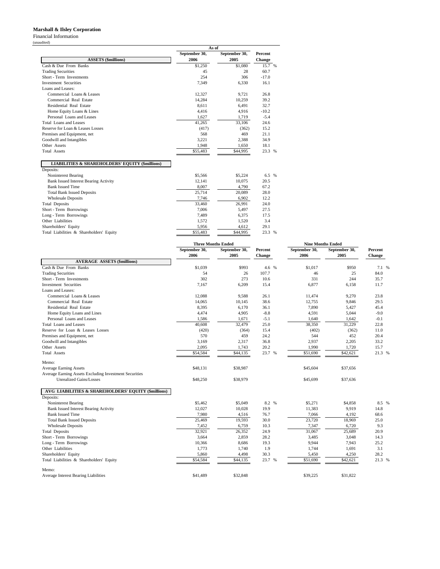## **Marshall & Ilsley Corporation**

Financial Information

(unaudited)

|                                                            | As of         |               |         |  |  |  |
|------------------------------------------------------------|---------------|---------------|---------|--|--|--|
|                                                            | September 30, | September 30, | Percent |  |  |  |
| <b>ASSETS</b> (\$millions)                                 | 2006          | 2005          | Change  |  |  |  |
| Cash & Due From Banks                                      | \$1,250       | \$1,080       | 15.7 %  |  |  |  |
| <b>Trading Securities</b>                                  | 45            | 28            | 60.7    |  |  |  |
| Short - Term Investments                                   | 254           | 306           | $-17.0$ |  |  |  |
| <b>Investment Securities</b>                               | 7,349         | 6,330         | 16.1    |  |  |  |
| Loans and Leases:                                          |               |               |         |  |  |  |
| Commercial Loans & Leases                                  | 12,327        | 9.721         | 26.8    |  |  |  |
| Commercial Real Estate                                     | 14,284        | 10,259        | 39.2    |  |  |  |
| Residential Real Estate                                    | 8,611         | 6.491         | 32.7    |  |  |  |
| Home Equity Loans & Lines                                  | 4,416         | 4,916         | $-10.2$ |  |  |  |
| Personal Loans and Leases                                  | 1,627         | 1,719         | $-5.4$  |  |  |  |
| Total Loans and Leases                                     | 41,265        | 33,106        | 24.6    |  |  |  |
| Reserve for Loan & Leases Losses                           | (417)         | (362)         | 15.2    |  |  |  |
| Premises and Equipment, net                                | 568           | 469           | 21.1    |  |  |  |
| Goodwill and Intangibles                                   | 3,221         | 2,388         | 34.9    |  |  |  |
| Other Assets                                               | 1,948         | 1,650         | 18.1    |  |  |  |
| <b>Total Assets</b>                                        | \$55,483      | \$44,995      | 23.3 %  |  |  |  |
| <b>LIABILITIES &amp; SHAREHOLDERS' EQUITY (\$millions)</b> |               |               |         |  |  |  |
| Deposits:                                                  |               |               |         |  |  |  |
| Noninterest Bearing                                        | \$5,566       | \$5,224       | 6.5 %   |  |  |  |
| <b>Bank Issued Interest Bearing Activity</b>               | 12,141        | 10,075        | 20.5    |  |  |  |
| <b>Bank Issued Time</b>                                    | 8,007         | 4,790         | 67.2    |  |  |  |
| <b>Total Bank Issued Deposits</b>                          | 25,714        | 20,089        | 28.0    |  |  |  |
| <b>Wholesale Deposits</b>                                  | 7,746         | 6,902         | 12.2    |  |  |  |
| <b>Total Deposits</b>                                      | 33,460        | 26,991        | 24.0    |  |  |  |
| Short - Term Borrowings                                    | 7,006         | 5,497         | 27.5    |  |  |  |
| Long - Term Borrowings                                     | 7,489         | 6,375         | 17.5    |  |  |  |
| Other Liabilities                                          | 1,572         | 1,520         | 3.4     |  |  |  |
| Shareholders' Equity                                       | 5,956         | 4,612         | 29.1    |  |  |  |
| Total Liabilities & Shareholders' Equity                   | \$55,483      | \$44,995      | 23.3 %  |  |  |  |

|                                                        |                       | <b>Three Months Ended</b> |                   | <b>Nine Months Ended</b> |                       |                   |
|--------------------------------------------------------|-----------------------|---------------------------|-------------------|--------------------------|-----------------------|-------------------|
|                                                        | September 30,<br>2006 | September 30,<br>2005     | Percent<br>Change | September 30,<br>2006    | September 30,<br>2005 | Percent<br>Change |
| <b>AVERAGE ASSETS (\$millions)</b>                     |                       |                           |                   |                          |                       |                   |
| Cash & Due From Banks                                  | \$1,039               | \$993                     | 4.6 %             | \$1,017                  | \$950                 | 7.1 %             |
| <b>Trading Securities</b>                              | 54                    | 26                        | 107.7             | 46                       | 25                    | 84.0              |
| Short - Term Investments                               | 302                   | 273                       | 10.6              | 331                      | 244                   | 35.7              |
| <b>Investment Securities</b>                           | 7,167                 | 6,209                     | 15.4              | 6.877                    | 6,158                 | 11.7              |
| Loans and Leases:                                      |                       |                           |                   |                          |                       |                   |
| Commercial Loans & Leases                              | 12,088                | 9,588                     | 26.1              | 11,474                   | 9,270                 | 23.8              |
| Commercial Real Estate                                 | 14,065                | 10,145                    | 38.6              | 12,755                   | 9,846                 | 29.5              |
| Residential Real Estate                                | 8,395                 | 6,170                     | 36.1              | 7,890                    | 5,427                 | 45.4              |
| Home Equity Loans and Lines                            | 4,474                 | 4,905                     | $-8.8$            | 4,591                    | 5,044                 | $-9.0$            |
| Personal Loans and Leases                              | 1,586                 | 1,671                     | $-5.1$            | 1,640                    | 1,642                 | $-0.1$            |
| <b>Total Loans and Leases</b>                          | 40,608                | 32,479                    | 25.0              | 38,350                   | 31,229                | 22.8              |
| Reserve for Loan & Leases Losses                       | (420)                 | (364)                     | 15.4              | (402)                    | (362)                 | 11.0              |
| Premises and Equipment, net                            | 570                   | 459                       | 24.2              | 544                      | 452                   | 20.4              |
| Goodwill and Intangibles                               | 3,169                 | 2,317                     | 36.8              | 2,937                    | 2,205                 | 33.2              |
| Other Assets                                           | 2,095                 | 1,743                     | 20.2              | 1,990                    | 1,720                 | 15.7              |
| <b>Total Assets</b>                                    | \$54,584              | \$44,135                  | 23.7 %            | \$51,690                 | \$42,621              | 21.3 %            |
| Memo:                                                  |                       |                           |                   |                          |                       |                   |
| <b>Average Earning Assets</b>                          | \$48,131              | \$38,987                  |                   | \$45,604                 | \$37,656              |                   |
| Average Earning Assets Excluding Investment Securities |                       |                           |                   |                          |                       |                   |
| <b>Unrealized Gains/Losses</b>                         | \$48,250              | \$38,979                  |                   | \$45,699                 | \$37,636              |                   |
| AVG LIABILITIES & SHAREHOLDERS' EQUITY (\$millions)    |                       |                           |                   |                          |                       |                   |
| Deposits:                                              |                       |                           |                   |                          |                       |                   |
| Noninterest Bearing                                    | \$5,462               | \$5,049                   | 8.2 %             | \$5,271                  | \$4,858               | 8.5 %             |
| <b>Bank Issued Interest Bearing Activity</b>           | 12,027                | 10,028                    | 19.9              | 11,383                   | 9,919                 | 14.8              |
| <b>Bank Issued Time</b>                                | 7,980                 | 4,516                     | 76.7              | 7,066                    | 4,192                 | 68.6              |
| <b>Total Bank Issued Deposits</b>                      | 25,469                | 19.593                    | 30.0              | 23,720                   | 18,969                | 25.0              |
| <b>Wholesale Deposits</b>                              | 7,452                 | 6,759                     | 10.3              | 7,347                    | 6,720                 | 9.3               |
| <b>Total Deposits</b>                                  | 32,921                | 26,352                    | 24.9              | 31,067                   | 25,689                | 20.9              |
| Short - Term Borrowings                                | 3,664                 | 2,859                     | 28.2              | 3,485                    | 3,048                 | 14.3              |
| Long - Term Borrowings                                 | 10,366                | 8,686                     | 19.3              | 9,944                    | 7,943                 | 25.2              |
| Other Liabilities                                      | 1,773                 | 1,740                     | 1.9               | 1,744                    | 1,691                 | 3.1               |
| Shareholders' Equity                                   | 5,860                 | 4,498                     | 30.3              | 5,450                    | 4,250                 | 28.2              |
| Total Liabilities & Shareholders' Equity               | \$54,584              | \$44,135                  | 23.7 %            | \$51,690                 | \$42,621              | 21.3 %            |
| Memo:                                                  |                       |                           |                   |                          |                       |                   |
| <b>Average Interest Bearing Liabilities</b>            | \$41,489              | \$32,848                  |                   | \$39,225                 | \$31,822              |                   |